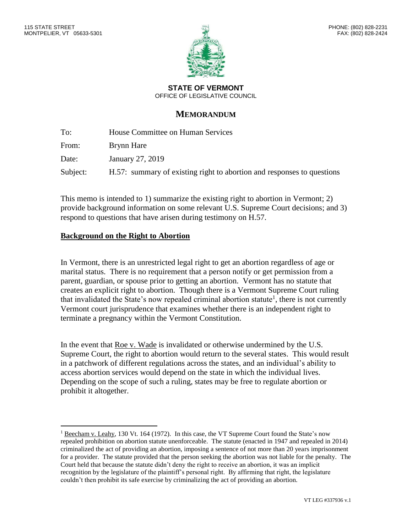$\overline{a}$ 



**STATE OF VERMONT** OFFICE OF LEGISLATIVE COUNCIL

# **MEMORANDUM**

| To:      | House Committee on Human Services                                      |
|----------|------------------------------------------------------------------------|
| From:    | Brynn Hare                                                             |
| Date:    | January 27, 2019                                                       |
| Subject: | H.57: summary of existing right to abortion and responses to questions |

This memo is intended to 1) summarize the existing right to abortion in Vermont; 2) provide background information on some relevant U.S. Supreme Court decisions; and 3) respond to questions that have arisen during testimony on H.57.

## **Background on the Right to Abortion**

In Vermont, there is an unrestricted legal right to get an abortion regardless of age or marital status. There is no requirement that a person notify or get permission from a parent, guardian, or spouse prior to getting an abortion. Vermont has no statute that creates an explicit right to abortion. Though there is a Vermont Supreme Court ruling that invalidated the State's now repealed criminal abortion statute<sup>1</sup>, there is not currently Vermont court jurisprudence that examines whether there is an independent right to terminate a pregnancy within the Vermont Constitution.

In the event that Roe v. Wade is invalidated or otherwise undermined by the U.S. Supreme Court, the right to abortion would return to the several states. This would result in a patchwork of different regulations across the states, and an individual's ability to access abortion services would depend on the state in which the individual lives. Depending on the scope of such a ruling, states may be free to regulate abortion or prohibit it altogether.

<sup>&</sup>lt;sup>1</sup> Beecham v. Leahy, 130 Vt. 164 (1972). In this case, the VT Supreme Court found the State's now repealed prohibition on abortion statute unenforceable. The statute (enacted in 1947 and repealed in 2014) criminalized the act of providing an abortion, imposing a sentence of not more than 20 years imprisonment for a provider. The statute provided that the person seeking the abortion was not liable for the penalty. The Court held that because the statute didn't deny the right to receive an abortion, it was an implicit recognition by the legislature of the plaintiff's personal right. By affirming that right, the legislature couldn't then prohibit its safe exercise by criminalizing the act of providing an abortion.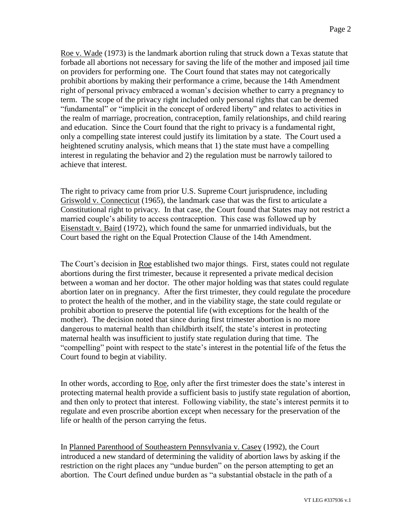Roe v. Wade (1973) is the landmark abortion ruling that struck down a Texas statute that forbade all abortions not necessary for saving the life of the mother and imposed jail time on providers for performing one. The Court found that states may not categorically prohibit abortions by making their performance a crime, because the 14th Amendment right of personal privacy embraced a woman's decision whether to carry a pregnancy to term. The scope of the privacy right included only personal rights that can be deemed "fundamental" or "implicit in the concept of ordered liberty" and relates to activities in the realm of marriage, procreation, contraception, family relationships, and child rearing and education. Since the Court found that the right to privacy is a fundamental right, only a compelling state interest could justify its limitation by a state. The Court used a heightened scrutiny analysis, which means that 1) the state must have a compelling interest in regulating the behavior and 2) the regulation must be narrowly tailored to achieve that interest.

The right to privacy came from prior U.S. Supreme Court jurisprudence, including Griswold v. Connecticut (1965), the landmark case that was the first to articulate a Constitutional right to privacy. In that case, the Court found that States may not restrict a married couple's ability to access contraception. This case was followed up by Eisenstadt v. Baird (1972), which found the same for unmarried individuals, but the Court based the right on the Equal Protection Clause of the 14th Amendment.

The Court's decision in Roe established two major things. First, states could not regulate abortions during the first trimester, because it represented a private medical decision between a woman and her doctor. The other major holding was that states could regulate abortion later on in pregnancy. After the first trimester, they could regulate the procedure to protect the health of the mother, and in the viability stage, the state could regulate or prohibit abortion to preserve the potential life (with exceptions for the health of the mother). The decision noted that since during first trimester abortion is no more dangerous to maternal health than childbirth itself, the state's interest in protecting maternal health was insufficient to justify state regulation during that time. The "compelling" point with respect to the state's interest in the potential life of the fetus the Court found to begin at viability.

In other words, according to Roe, only after the first trimester does the state's interest in protecting maternal health provide a sufficient basis to justify state regulation of abortion, and then only to protect that interest. Following viability, the state's interest permits it to regulate and even proscribe abortion except when necessary for the preservation of the life or health of the person carrying the fetus.

In Planned Parenthood of Southeastern Pennsylvania v. Casey (1992), the Court introduced a new standard of determining the validity of abortion laws by asking if the restriction on the right places any "undue burden" on the person attempting to get an abortion. The Court defined undue burden as "a substantial obstacle in the path of a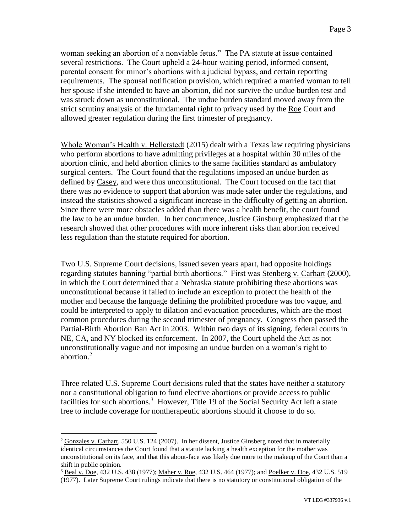woman seeking an abortion of a nonviable fetus." The PA statute at issue contained several restrictions. The Court upheld a 24-hour waiting period, informed consent, parental consent for minor's abortions with a judicial bypass, and certain reporting requirements. The spousal notification provision, which required a married woman to tell her spouse if she intended to have an abortion, did not survive the undue burden test and was struck down as unconstitutional. The undue burden standard moved away from the strict scrutiny analysis of the fundamental right to privacy used by the Roe Court and allowed greater regulation during the first trimester of pregnancy.

Whole Woman's Health v. Hellerstedt (2015) dealt with a Texas law requiring physicians who perform abortions to have admitting privileges at a hospital within 30 miles of the abortion clinic, and held abortion clinics to the same facilities standard as ambulatory surgical centers. The Court found that the regulations imposed an undue burden as defined by Casey, and were thus unconstitutional. The Court focused on the fact that there was no evidence to support that abortion was made safer under the regulations, and instead the statistics showed a significant increase in the difficulty of getting an abortion. Since there were more obstacles added than there was a health benefit, the court found the law to be an undue burden. In her concurrence, Justice Ginsburg emphasized that the research showed that other procedures with more inherent risks than abortion received less regulation than the statute required for abortion.

Two U.S. Supreme Court decisions, issued seven years apart, had opposite holdings regarding statutes banning "partial birth abortions." First was Stenberg v. Carhart (2000), in which the Court determined that a Nebraska statute prohibiting these abortions was unconstitutional because it failed to include an exception to protect the health of the mother and because the language defining the prohibited procedure was too vague, and could be interpreted to apply to dilation and evacuation procedures, which are the most common procedures during the second trimester of pregnancy. Congress then passed the Partial-Birth Abortion Ban Act in 2003. Within two days of its signing, federal courts in NE, CA, and NY blocked its enforcement. In 2007, the Court upheld the Act as not unconstitutionally vague and not imposing an undue burden on a woman's right to abortion. 2

Three related U.S. Supreme Court decisions ruled that the states have neither a statutory nor a constitutional obligation to fund elective abortions or provide access to public facilities for such abortions.<sup>3</sup> However, Title 19 of the Social Security Act left a state free to include coverage for nontherapeutic abortions should it choose to do so.

 $\overline{a}$ 

<sup>&</sup>lt;sup>2</sup> Gonzales v. Carhart, 550 U.S. 124 (2007). In her dissent, Justice Ginsberg noted that in materially identical circumstances the Court found that a statute lacking a health exception for the mother was unconstitutional on its face, and that this about-face was likely due more to the makeup of the Court than a shift in public opinion.

<sup>&</sup>lt;sup>3</sup> Beal v. Doe, 432 U.S. 438 (1977); Maher v. Roe, 432 U.S. 464 (1977); and Poelker v. Doe, 432 U.S. 519 (1977). Later Supreme Court rulings indicate that there is no statutory or constitutional obligation of the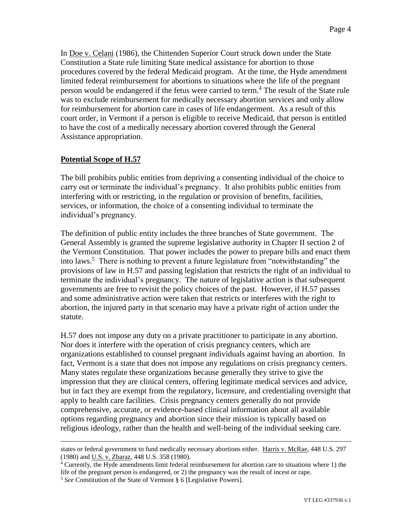In Doe v. Celani (1986), the Chittenden Superior Court struck down under the State Constitution a State rule limiting State medical assistance for abortion to those procedures covered by the federal Medicaid program. At the time, the Hyde amendment limited federal reimbursement for abortions to situations where the life of the pregnant person would be endangered if the fetus were carried to term.<sup>4</sup> The result of the State rule was to exclude reimbursement for medically necessary abortion services and only allow for reimbursement for abortion care in cases of life endangerment. As a result of this court order, in Vermont if a person is eligible to receive Medicaid, that person is entitled to have the cost of a medically necessary abortion covered through the General Assistance appropriation.

#### **Potential Scope of H.57**

 $\overline{a}$ 

The bill prohibits public entities from depriving a consenting individual of the choice to carry out or terminate the individual's pregnancy. It also prohibits public entities from interfering with or restricting, in the regulation or provision of benefits, facilities, services, or information, the choice of a consenting individual to terminate the individual's pregnancy.

The definition of public entity includes the three branches of State government. The General Assembly is granted the supreme legislative authority in Chapter II section 2 of the Vermont Constitution. That power includes the power to prepare bills and enact them into laws.<sup>5</sup> There is nothing to prevent a future legislature from "notwithstanding" the provisions of law in H.57 and passing legislation that restricts the right of an individual to terminate the individual's pregnancy. The nature of legislative action is that subsequent governments are free to revisit the policy choices of the past. However, if H.57 passes and some administrative action were taken that restricts or interferes with the right to abortion, the injured party in that scenario may have a private right of action under the statute.

H.57 does not impose any duty on a private practitioner to participate in any abortion. Nor does it interfere with the operation of crisis pregnancy centers, which are organizations established to counsel pregnant individuals against having an abortion. In fact, Vermont is a state that does not impose any regulations on crisis pregnancy centers. Many states regulate these organizations because generally they strive to give the impression that they are clinical centers, offering legitimate medical services and advice, but in fact they are exempt from the regulatory, licensure, and credentialing oversight that apply to health care facilities. Crisis pregnancy centers generally do not provide comprehensive, accurate, or evidence-based clinical information about all available options regarding pregnancy and abortion since their mission is typically based on religious ideology, rather than the health and well-being of the individual seeking care.

states or federal government to fund medically necessary abortions either. Harris v. McRae, 448 U.S. 297 (1980) and U.S. v. Zbaraz, 448 U.S. 358 (1980).

<sup>4</sup> Currently, the Hyde amendments limit federal reimbursement for abortion care to situations where 1) the life of the pregnant person is endangered, or 2) the pregnancy was the result of incest or rape.

<sup>5</sup> *See* Constitution of the State of Vermont § 6 [Legislative Powers].